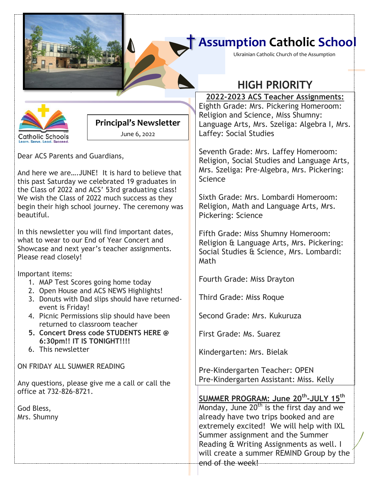## † **Assumption Catholic School**

Ukrainian Catholic Church of the Assumption



#### **Principal's Newsletter**

June 6, 2022

Dear ACS Parents and Guardians,

And here we are….JUNE! It is hard to believe that this past Saturday we celebrated 19 graduates in the Class of 2022 and ACS' 53rd graduating class! We wish the Class of 2022 much success as they begin their high school journey. The ceremony was beautiful.

In this newsletter you will find important dates, what to wear to our End of Year Concert and Showcase and next year's teacher assignments. Please read closely!

Important items:

- 1. MAP Test Scores going home today
- 2. Open House and ACS NEWS Highlights!
- 3. Donuts with Dad slips should have returnedevent is Friday!
- 4. Picnic Permissions slip should have been returned to classroom teacher
- **5. Concert Dress code STUDENTS HERE @ 6:30pm!! IT IS TONIGHT!!!!**
- 6. This newsletter

ON FRIDAY ALL SUMMER READING

Any questions, please give me a call or call the office at 732-826-8721.

God Bless, Mrs. Shumny

# **HIGH PRIORITY**

Eighth Grade: Mrs. Pickering Homeroom:  $\|$ **2022-2023 ACS Teacher Assignments:** Religion and Science, Miss Shumny: Language Arts, Mrs. Szeliga: Algebra I, Mrs. Laffey: Social Studies

Seventh Grade: Mrs. Laffey Homeroom: Religion, Social Studies and Language Arts, Mrs. Szeliga: Pre-Algebra, Mrs. Pickering: Science

Sixth Grade: Mrs. Lombardi Homeroom: Religion, Math and Language Arts, Mrs. Pickering: Science

Fifth Grade: Miss Shumny Homeroom: Religion & Language Arts, Mrs. Pickering: Social Studies & Science, Mrs. Lombardi: Math

Fourth Grade: Miss Drayton

Third Grade: Miss Roque

Second Grade: Mrs. Kukuruza

First Grade: Ms. Suarez

Kindergarten: Mrs. Bielak

Pre-Kindergarten Teacher: OPEN Pre-Kindergarten Assistant: Miss. Kelly

### **SUMMER PROGRAM: June 20th -JULY 15th**

Monday, June  $20<sup>th</sup>$  is the first day and we already have two trips booked and are extremely excited! We will help with IXL Summer assignment and the Summer Reading & Writing Assignments as well. I will create a summer REMIND Group by the end of the week!